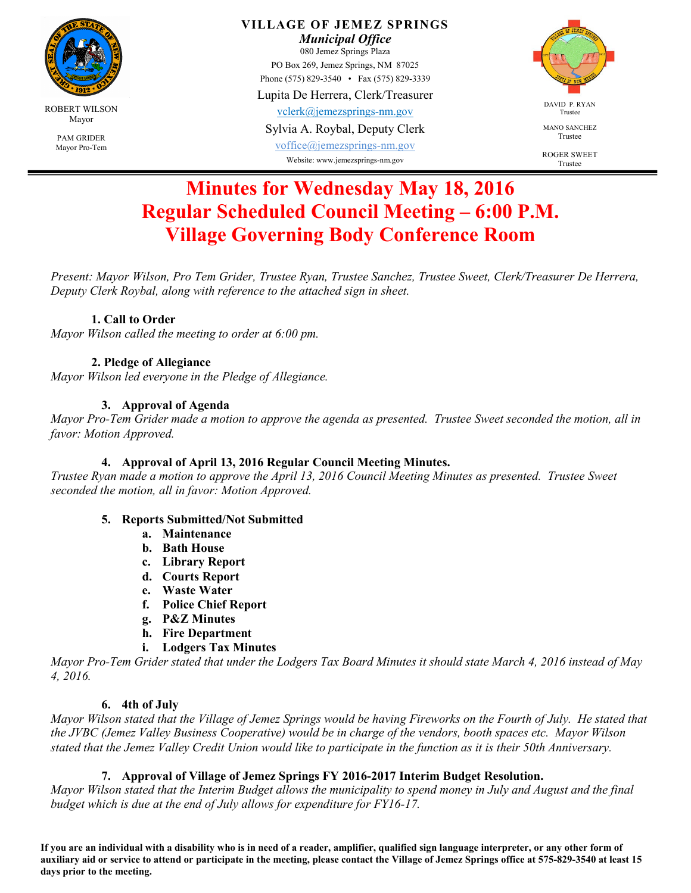

Mayor Pro-Tem

**VILLAGE OF JEMEZ SPRINGS** 

*Municipal Office* 

080 Jemez Springs Plaza PO Box 269, Jemez Springs, NM 87025 Phone (575) 829-3540 • Fax (575) 829-3339

Lupita De Herrera, Clerk/Treasurer

vclerk@jemezsprings-nm.gov

Sylvia A. Roybal, Deputy Clerk

voffice@jemezsprings-nm.gov Website: www.jemezsprings-nm.gov



MANO SANCHEZ Trustee

ROGER SWEET Trustee

# **Minutes for Wednesday May 18, 2016 Regular Scheduled Council Meeting – 6:00 P.M. Village Governing Body Conference Room**

*Present: Mayor Wilson, Pro Tem Grider, Trustee Ryan, Trustee Sanchez, Trustee Sweet, Clerk/Treasurer De Herrera, Deputy Clerk Roybal, along with reference to the attached sign in sheet.* 

# **1. Call to Order**

*Mayor Wilson called the meeting to order at 6:00 pm.* 

# **2. Pledge of Allegiance**

*Mayor Wilson led everyone in the Pledge of Allegiance.* 

# **3. Approval of Agenda**

*Mayor Pro-Tem Grider made a motion to approve the agenda as presented. Trustee Sweet seconded the motion, all in favor: Motion Approved.* 

# **4. Approval of April 13, 2016 Regular Council Meeting Minutes.**

*Trustee Ryan made a motion to approve the April 13, 2016 Council Meeting Minutes as presented. Trustee Sweet seconded the motion, all in favor: Motion Approved.*

## **5. Reports Submitted/Not Submitted**

- **a. Maintenance**
- **b. Bath House**
- **c. Library Report**
- **d. Courts Report**
- **e. Waste Water**
- **f. Police Chief Report**
- **g. P&Z Minutes**
- **h. Fire Department**
- **i. Lodgers Tax Minutes**

*Mayor Pro-Tem Grider stated that under the Lodgers Tax Board Minutes it should state March 4, 2016 instead of May 4, 2016.* 

## **6. 4th of July**

*Mayor Wilson stated that the Village of Jemez Springs would be having Fireworks on the Fourth of July. He stated that the JVBC (Jemez Valley Business Cooperative) would be in charge of the vendors, booth spaces etc. Mayor Wilson stated that the Jemez Valley Credit Union would like to participate in the function as it is their 50th Anniversary.* 

## **7. Approval of Village of Jemez Springs FY 2016-2017 Interim Budget Resolution.**

*Mayor Wilson stated that the Interim Budget allows the municipality to spend money in July and August and the final budget which is due at the end of July allows for expenditure for FY16-17.* 

**If you are an individual with a disability who is in need of a reader, amplifier, qualified sign language interpreter, or any other form of auxiliary aid or service to attend or participate in the meeting, please contact the Village of Jemez Springs office at 575-829-3540 at least 15 days prior to the meeting.**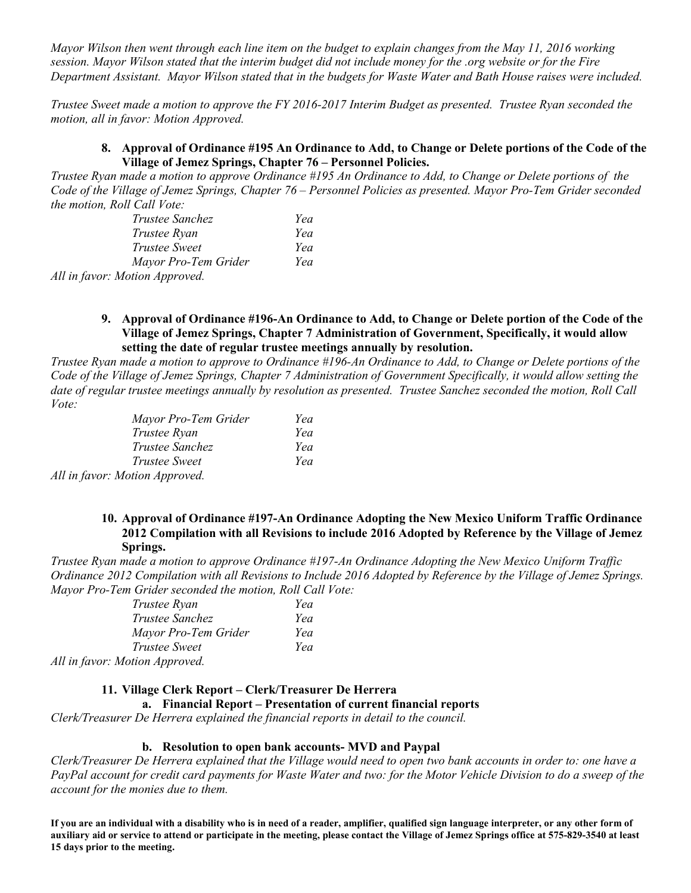*Mayor Wilson then went through each line item on the budget to explain changes from the May 11, 2016 working session. Mayor Wilson stated that the interim budget did not include money for the .org website or for the Fire Department Assistant. Mayor Wilson stated that in the budgets for Waste Water and Bath House raises were included.* 

*Trustee Sweet made a motion to approve the FY 2016-2017 Interim Budget as presented. Trustee Ryan seconded the motion, all in favor: Motion Approved.* 

#### **8. Approval of Ordinance #195 An Ordinance to Add, to Change or Delete portions of the Code of the Village of Jemez Springs, Chapter 76 – Personnel Policies.**

*Trustee Ryan made a motion to approve Ordinance #195 An Ordinance to Add, to Change or Delete portions of the Code of the Village of Jemez Springs, Chapter 76 – Personnel Policies as presented. Mayor Pro-Tem Grider seconded the motion, Roll Call Vote:* 

| <i>Trustee Sanchez</i>        | Yea |
|-------------------------------|-----|
| Trustee Ryan                  | Yea |
| <i>Trustee Sweet</i>          | Yea |
| Mayor Pro-Tem Grider          | Yea |
| All in favour Motion Annuaual |     |

*All in favor: Motion Approved.* 

**9. Approval of Ordinance #196-An Ordinance to Add, to Change or Delete portion of the Code of the Village of Jemez Springs, Chapter 7 Administration of Government, Specifically, it would allow setting the date of regular trustee meetings annually by resolution.** 

*Trustee Ryan made a motion to approve to Ordinance #196-An Ordinance to Add, to Change or Delete portions of the Code of the Village of Jemez Springs, Chapter 7 Administration of Government Specifically, it would allow setting the date of regular trustee meetings annually by resolution as presented. Trustee Sanchez seconded the motion, Roll Call Vote:* 

| Mayor Pro-Tem Grider           | Yea |
|--------------------------------|-----|
| Trustee Ryan                   | Yea |
| Trustee Sanchez                | Yea |
| Trustee Sweet                  | Yea |
| All in favor: Motion Approved. |     |

#### **10. Approval of Ordinance #197-An Ordinance Adopting the New Mexico Uniform Traffic Ordinance 2012 Compilation with all Revisions to include 2016 Adopted by Reference by the Village of Jemez Springs.**

*Trustee Ryan made a motion to approve Ordinance #197-An Ordinance Adopting the New Mexico Uniform Traffic Ordinance 2012 Compilation with all Revisions to Include 2016 Adopted by Reference by the Village of Jemez Springs. Mayor Pro-Tem Grider seconded the motion, Roll Call Vote:* 

| Trustee Ryan                 | Yea |
|------------------------------|-----|
| <i>Trustee Sanchez</i>       | Yea |
| Mayor Pro-Tem Grider         | Yea |
| <i>Trustee Sweet</i>         | Yea |
| All in favor Motion Annuaved |     |

*All in favor: Motion Approved.* 

## **11. Village Clerk Report – Clerk/Treasurer De Herrera**

### **a. Financial Report – Presentation of current financial reports**

*Clerk/Treasurer De Herrera explained the financial reports in detail to the council.* 

#### **b. Resolution to open bank accounts- MVD and Paypal**

*Clerk/Treasurer De Herrera explained that the Village would need to open two bank accounts in order to: one have a PayPal account for credit card payments for Waste Water and two: for the Motor Vehicle Division to do a sweep of the account for the monies due to them.* 

**If you are an individual with a disability who is in need of a reader, amplifier, qualified sign language interpreter, or any other form of auxiliary aid or service to attend or participate in the meeting, please contact the Village of Jemez Springs office at 575-829-3540 at least 15 days prior to the meeting.**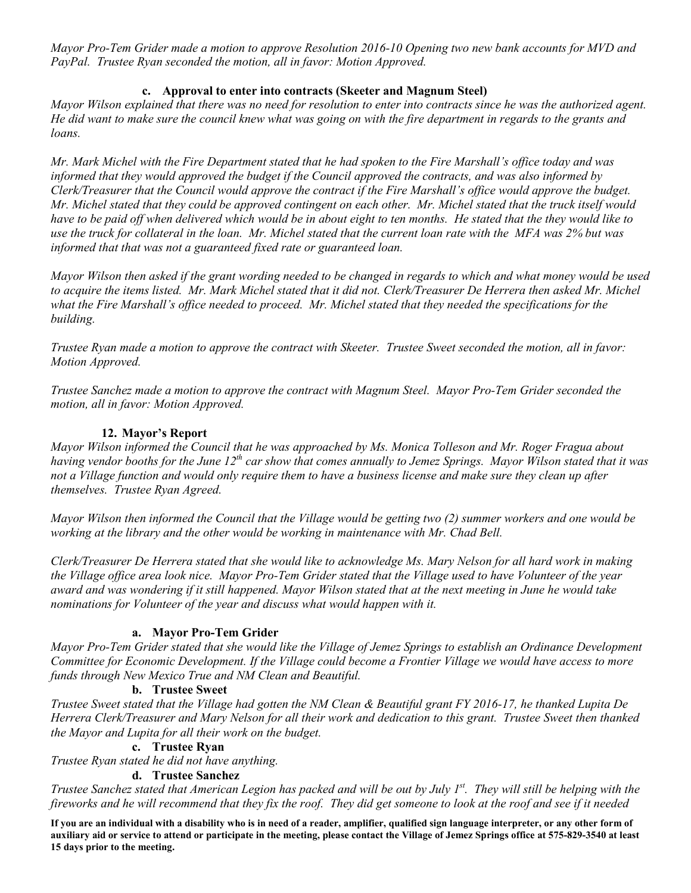*Mayor Pro-Tem Grider made a motion to approve Resolution 2016-10 Opening two new bank accounts for MVD and PayPal. Trustee Ryan seconded the motion, all in favor: Motion Approved.* 

## **c. Approval to enter into contracts (Skeeter and Magnum Steel)**

*Mayor Wilson explained that there was no need for resolution to enter into contracts since he was the authorized agent. He did want to make sure the council knew what was going on with the fire department in regards to the grants and loans.* 

*Mr. Mark Michel with the Fire Department stated that he had spoken to the Fire Marshall's office today and was informed that they would approved the budget if the Council approved the contracts, and was also informed by Clerk/Treasurer that the Council would approve the contract if the Fire Marshall's office would approve the budget. Mr. Michel stated that they could be approved contingent on each other. Mr. Michel stated that the truck itself would have to be paid off when delivered which would be in about eight to ten months. He stated that the they would like to use the truck for collateral in the loan. Mr. Michel stated that the current loan rate with the MFA was 2% but was informed that that was not a guaranteed fixed rate or guaranteed loan.* 

*Mayor Wilson then asked if the grant wording needed to be changed in regards to which and what money would be used*  to acquire the items listed. Mr. Mark Michel stated that it did not. Clerk/Treasurer De Herrera then asked Mr. Michel what the Fire Marshall's office needed to proceed. Mr. Michel stated that they needed the specifications for the *building.* 

*Trustee Ryan made a motion to approve the contract with Skeeter. Trustee Sweet seconded the motion, all in favor: Motion Approved.* 

*Trustee Sanchez made a motion to approve the contract with Magnum Steel. Mayor Pro-Tem Grider seconded the motion, all in favor: Motion Approved.*

## **12. Mayor's Report**

*Mayor Wilson informed the Council that he was approached by Ms. Monica Tolleson and Mr. Roger Fragua about having vendor booths for the June 12th car show that comes annually to Jemez Springs. Mayor Wilson stated that it was not a Village function and would only require them to have a business license and make sure they clean up after themselves. Trustee Ryan Agreed.* 

*Mayor Wilson then informed the Council that the Village would be getting two (2) summer workers and one would be working at the library and the other would be working in maintenance with Mr. Chad Bell.* 

*Clerk/Treasurer De Herrera stated that she would like to acknowledge Ms. Mary Nelson for all hard work in making the Village office area look nice. Mayor Pro-Tem Grider stated that the Village used to have Volunteer of the year award and was wondering if it still happened. Mayor Wilson stated that at the next meeting in June he would take nominations for Volunteer of the year and discuss what would happen with it.* 

## **a. Mayor Pro-Tem Grider**

*Mayor Pro-Tem Grider stated that she would like the Village of Jemez Springs to establish an Ordinance Development Committee for Economic Development. If the Village could become a Frontier Village we would have access to more funds through New Mexico True and NM Clean and Beautiful.* 

#### **b. Trustee Sweet**

*Trustee Sweet stated that the Village had gotten the NM Clean & Beautiful grant FY 2016-17, he thanked Lupita De Herrera Clerk/Treasurer and Mary Nelson for all their work and dedication to this grant. Trustee Sweet then thanked the Mayor and Lupita for all their work on the budget.* 

#### **c. Trustee Ryan**

*Trustee Ryan stated he did not have anything.* 

#### **d. Trustee Sanchez**

*Trustee Sanchez stated that American Legion has packed and will be out by July 1st. They will still be helping with the fireworks and he will recommend that they fix the roof. They did get someone to look at the roof and see if it needed* 

**If you are an individual with a disability who is in need of a reader, amplifier, qualified sign language interpreter, or any other form of auxiliary aid or service to attend or participate in the meeting, please contact the Village of Jemez Springs office at 575-829-3540 at least 15 days prior to the meeting.**